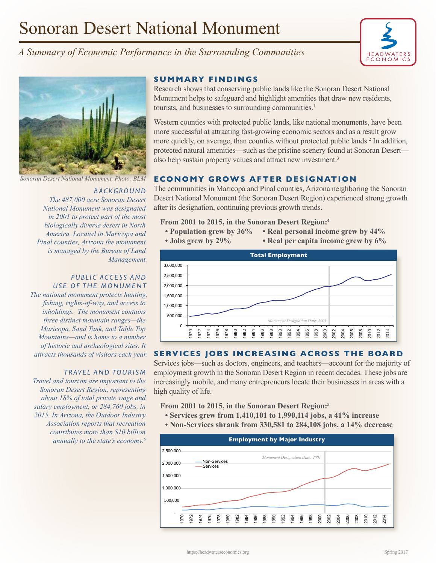# Sonoran Desert National Monument







#### *B AC K G RO U N D*

*The 487,000 acre Sonoran Desert National Monument was designated in 2001 to protect part of the most biologically diverse desert in North America. Located in Maricopa and Pinal counties, Arizona the monument is managed by the Bureau of Land Management.*

#### PUBLIC ACCESS AND USE OF THE MONUMENT

*The national monument protects hunting, fishing, rights-of-way, and access to inholdings. The monument contains three distinct mountain ranges—the Maricopa, Sand Tank, and Table Top Mountains—and is home to a number of historic and archeological sites. It attracts thousands of visitors each year.*

## *TRAVEL AND TOURISM*

*Travel and tourism are important to the Sonoran Desert Region, representing about 18% of total private wage and salary employment, or 284,760 jobs, in 2015. In Arizona, the Outdoor Industry Association reports that recreation contributes more than \$10 billion annually to the state's economy.6*

## **SUMMARY FINDINGS**

Research shows that conserving public lands like the Sonoran Desert National Monument helps to safeguard and highlight amenities that draw new residents, tourists, and businesses to surrounding communities.<sup>1</sup>

Western counties with protected public lands, like national monuments, have been more successful at attracting fast-growing economic sectors and as a result grow more quickly, on average, than counties without protected public lands.<sup>2</sup> In addition, protected natural amenities—such as the pristine scenery found at Sonoran Desert also help sustain property values and attract new investment.<sup>3</sup>

## *Sonoran Desert National Monument, Photo: BLM* **ECONOMY GROWS AFTER DESIGNATION**

The communities in Maricopa and Pinal counties, Arizona neighboring the Sonoran Desert National Monument (the Sonoran Desert Region) experienced strong growth after its designation, continuing previous growth trends.

**From 2001 to 2015, in the Sonoran Desert Region:4**

- **Population grew by 36% Real personal income grew by 44%**
- **Jobs grew by 29% Real per capita income grew by 6%**



## **SERVICES JOBS INCREASING ACROSS THE BOARD**

Services jobs—such as doctors, engineers, and teachers—account for the majority of employment growth in the Sonoran Desert Region in recent decades. These jobs are increasingly mobile, and many entrepreneurs locate their businesses in areas with a high quality of life.

**From 2001 to 2015, in the Sonoran Desert Region:5**

- **Services grew from 1,410,101 to 1,990,114 jobs, a 41% increase**
- **Non-Services shrank from 330,581 to 284,108 jobs, a 14% decrease**